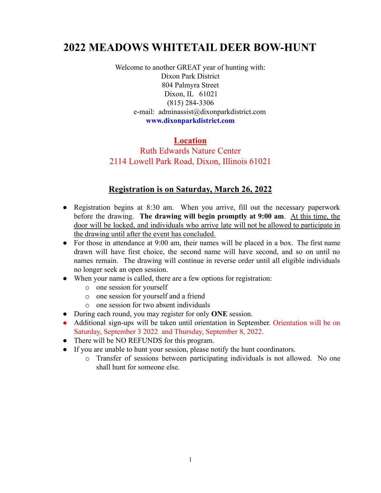# **2022 MEADOWS WHITETAIL DEER BOW-HUNT**

Welcome to another GREAT year of hunting with: Dixon Park District 804 Palmyra Street Dixon, IL 61021 (815) 284-3306 e-mail: adminassist@dixonparkdistrict.com **www.dixonparkdistrict.com**

#### **Location**

### Ruth Edwards Nature Center 2114 Lowell Park Road, Dixon, Illinois 61021

### **Registration is on Saturday, March 26, 2022**

- Registration begins at 8:30 am. When you arrive, fill out the necessary paperwork before the drawing. **The drawing will begin promptly at 9:00 am**. At this time, the door will be locked, and individuals who arrive late will not be allowed to participate in the drawing until after the event has concluded.
- For those in attendance at 9:00 am, their names will be placed in a box. The first name drawn will have first choice, the second name will have second, and so on until no names remain. The drawing will continue in reverse order until all eligible individuals no longer seek an open session.
- When your name is called, there are a few options for registration:
	- o one session for yourself
	- o one session for yourself and a friend
	- o one session for two absent individuals
- During each round, you may register for only **ONE** session.
- Additional sign-ups will be taken until orientation in September. Orientation will be on Saturday, September 3 2022 and Thursday, September 8, 2022.
- There will be NO REFUNDS for this program.
- If you are unable to hunt your session, please notify the hunt coordinators.
	- o Transfer of sessions between participating individuals is not allowed. No one shall hunt for someone else.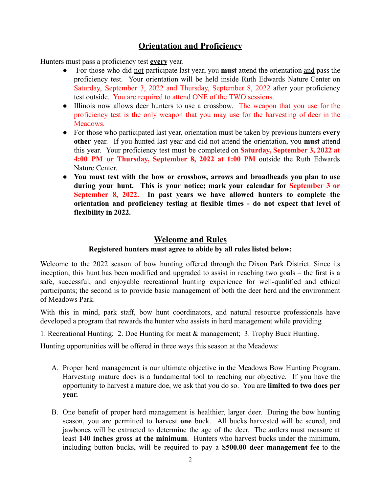## **Orientation and Proficiency**

Hunters must pass a proficiency test **every** year.

- For those who did not participate last year, you **must** attend the orientation and pass the proficiency test. Your orientation will be held inside Ruth Edwards Nature Center on Saturday, September 3, 2022 and Thursday, September 8, 2022 after your proficiency test outside. You are required to attend ONE of the TWO sessions.
- Illinois now allows deer hunters to use a crossbow. The weapon that you use for the proficiency test is the only weapon that you may use for the harvesting of deer in the Meadows.
- For those who participated last year, orientation must be taken by previous hunters **every other** year. If you hunted last year and did not attend the orientation, you **must** attend this year. Your proficiency test must be completed on **Saturday, September 3, 2022 at 4:00 PM or Thursday, September 8, 2022 at 1:00 PM** outside the Ruth Edwards Nature Center.
- **You must test with the bow or crossbow, arrows and broadheads you plan to use during your hunt. This is your notice; mark your calendar for September 3 or September 8, 2022. In past years we have allowed hunters to complete the orientation and proficiency testing at flexible times - do not expect that level of flexibility in 2022.**

#### **Welcome and Rules**

#### **Registered hunters must agree to abide by all rules listed below:**

Welcome to the 2022 season of bow hunting offered through the Dixon Park District. Since its inception, this hunt has been modified and upgraded to assist in reaching two goals – the first is a safe, successful, and enjoyable recreational hunting experience for well-qualified and ethical participants; the second is to provide basic management of both the deer herd and the environment of Meadows Park.

With this in mind, park staff, bow hunt coordinators, and natural resource professionals have developed a program that rewards the hunter who assists in herd management while providing

1. Recreational Hunting; 2. Doe Hunting for meat & management; 3. Trophy Buck Hunting.

Hunting opportunities will be offered in three ways this season at the Meadows:

- A. Proper herd management is our ultimate objective in the Meadows Bow Hunting Program. Harvesting mature does is a fundamental tool to reaching our objective. If you have the opportunity to harvest a mature doe, we ask that you do so. You are **limited to two does per year.**
- B. One benefit of proper herd management is healthier, larger deer. During the bow hunting season, you are permitted to harvest **one** buck. All bucks harvested will be scored, and jawbones will be extracted to determine the age of the deer. The antlers must measure at least **140 inches gross at the minimum**. Hunters who harvest bucks under the minimum, including button bucks, will be required to pay a **\$500.00 deer management fee** to the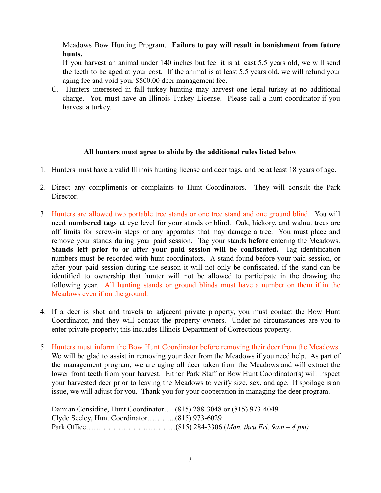Meadows Bow Hunting Program. **Failure to pay will result in banishment from future hunts.**

If you harvest an animal under 140 inches but feel it is at least 5.5 years old, we will send the teeth to be aged at your cost. If the animal is at least 5.5 years old, we will refund your aging fee and void your \$500.00 deer management fee.

C. Hunters interested in fall turkey hunting may harvest one legal turkey at no additional charge. You must have an Illinois Turkey License. Please call a hunt coordinator if you harvest a turkey.

#### **All hunters must agree to abide by the additional rules listed below**

- 1. Hunters must have a valid Illinois hunting license and deer tags, and be at least 18 years of age.
- 2. Direct any compliments or complaints to Hunt Coordinators. They will consult the Park Director.
- 3. Hunters are allowed two portable tree stands or one tree stand and one ground blind. You will need **numbered tags** at eye level for your stands or blind. Oak, hickory, and walnut trees are off limits for screw-in steps or any apparatus that may damage a tree. You must place and remove your stands during your paid session. Tag your stands **before** entering the Meadows. **Stands left prior to or after your paid session will be confiscated.** Tag identification numbers must be recorded with hunt coordinators. A stand found before your paid session, or after your paid session during the season it will not only be confiscated, if the stand can be identified to ownership that hunter will not be allowed to participate in the drawing the following year. All hunting stands or ground blinds must have a number on them if in the Meadows even if on the ground.
- 4. If a deer is shot and travels to adjacent private property, you must contact the Bow Hunt Coordinator, and they will contact the property owners. Under no circumstances are you to enter private property; this includes Illinois Department of Corrections property.
- 5. Hunters must inform the Bow Hunt Coordinator before removing their deer from the Meadows. We will be glad to assist in removing your deer from the Meadows if you need help. As part of the management program, we are aging all deer taken from the Meadows and will extract the lower front teeth from your harvest. Either Park Staff or Bow Hunt Coordinator(s) will inspect your harvested deer prior to leaving the Meadows to verify size, sex, and age. If spoilage is an issue, we will adjust for you. Thank you for your cooperation in managing the deer program.

| Damian Considine, Hunt Coordinator(815) 288-3048 or (815) 973-4049 |  |
|--------------------------------------------------------------------|--|
|                                                                    |  |
|                                                                    |  |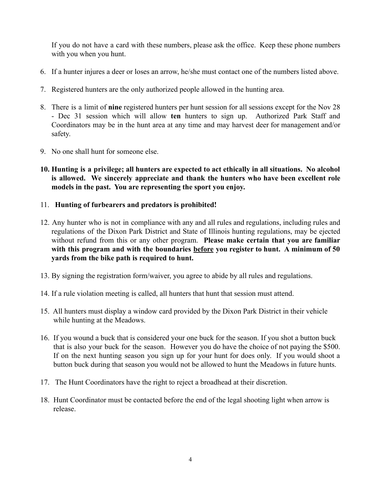If you do not have a card with these numbers, please ask the office. Keep these phone numbers with you when you hunt.

- 6. If a hunter injures a deer or loses an arrow, he/she must contact one of the numbers listed above.
- 7. Registered hunters are the only authorized people allowed in the hunting area.
- 8. There is a limit of **nine** registered hunters per hunt session for all sessions except for the Nov 28 - Dec 31 session which will allow **ten** hunters to sign up. Authorized Park Staff and Coordinators may be in the hunt area at any time and may harvest deer for management and/or safety.
- 9. No one shall hunt for someone else.
- **10. Hunting is a privilege; all hunters are expected to act ethically in all situations. No alcohol is allowed. We sincerely appreciate and thank the hunters who have been excellent role models in the past. You are representing the sport you enjoy.**
- 11. **Hunting of furbearers and predators is prohibited!**
- 12. Any hunter who is not in compliance with any and all rules and regulations, including rules and regulations of the Dixon Park District and State of Illinois hunting regulations, may be ejected without refund from this or any other program. **Please make certain that you are familiar with this program and with the boundaries before you register to hunt. A minimum of 50 yards from the bike path is required to hunt.**
- 13. By signing the registration form/waiver, you agree to abide by all rules and regulations.
- 14. If a rule violation meeting is called, all hunters that hunt that session must attend.
- 15. All hunters must display a window card provided by the Dixon Park District in their vehicle while hunting at the Meadows.
- 16. If you wound a buck that is considered your one buck for the season. If you shot a button buck that is also your buck for the season. However you do have the choice of not paying the \$500. If on the next hunting season you sign up for your hunt for does only. If you would shoot a button buck during that season you would not be allowed to hunt the Meadows in future hunts.
- 17. The Hunt Coordinators have the right to reject a broadhead at their discretion.
- 18. Hunt Coordinator must be contacted before the end of the legal shooting light when arrow is release.